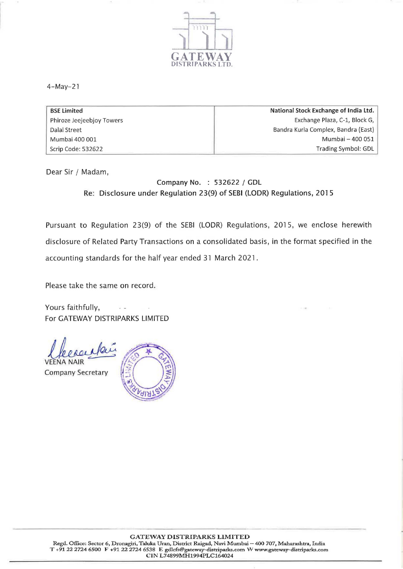

4-May-21

| <b>BSE Limited</b>        | National Stock Exchange of India Ltd. |  |
|---------------------------|---------------------------------------|--|
| Phiroze Jeejeebjoy Towers | Exchange Plaza, C-1, Block G,         |  |
| Dalal Street              | Bandra Kurla Complex, Bandra (East)   |  |
| Mumbai 400 001            | Mumbai - 400 051                      |  |
| Scrip Code: 532622        | Trading Symbol: GDL                   |  |

Dear Sir / Madam,

Company No. : 532622 / GDL Re: Disclosure under Regulation 23(9) of SEBI (LODR) Regulations, 2015

Pursuant to Regulation 23(9) of the SEBI (LODR) Regulations, 2015, we enclose herewith disclosure of Related Party Transactions on a consolidated basis, in the format specified in the accounting standards for the half year ended 31 March 2021.

Please take the same on record.

Yours faithfully, For GATEWAY DISTRIPARKS LIMITED

VEENA Clearentaire Company Secretary